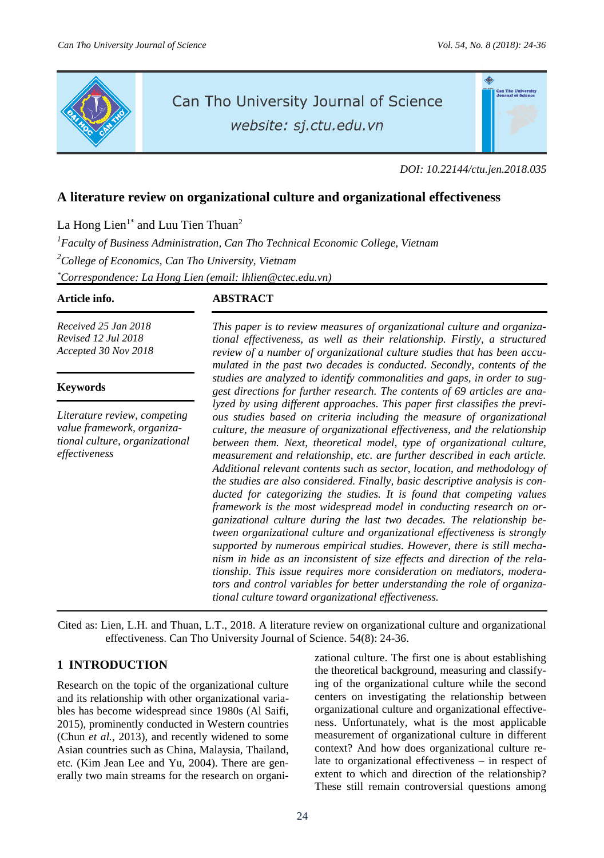

# Can Tho University Journal of Science

website: sj.ctu.edu.vn

*DOI: 10.22144/ctu.jen.2018.035*

# **A literature review on organizational culture and organizational effectiveness**

La Hong Lien<sup>1\*</sup> and Luu Tien Thuan<sup>2</sup>

*<sup>1</sup>Faculty of Business Administration, Can Tho Technical Economic College, Vietnam <sup>2</sup>College of Economics, Can Tho University, Vietnam \*Correspondence: La Hong Lien (email: lhlien@ctec.edu.vn)*

*Received 25 Jan 2018 Revised 12 Jul 2018 Accepted 30 Nov 2018*

#### **Keywords**

*Literature review, competing value framework, organizational culture, organizational effectiveness*

# **Article info. ABSTRACT**

*This paper is to review measures of organizational culture and organizational effectiveness, as well as their relationship. Firstly, a structured review of a number of organizational culture studies that has been accumulated in the past two decades is conducted. Secondly, contents of the studies are analyzed to identify commonalities and gaps, in order to suggest directions for further research. The contents of 69 articles are analyzed by using different approaches. This paper first classifies the previous studies based on criteria including the measure of organizational culture, the measure of organizational effectiveness, and the relationship between them. Next, theoretical model, type of organizational culture, measurement and relationship, etc. are further described in each article. Additional relevant contents such as sector, location, and methodology of the studies are also considered. Finally, basic descriptive analysis is conducted for categorizing the studies. It is found that competing values framework is the most widespread model in conducting research on organizational culture during the last two decades. The relationship between organizational culture and organizational effectiveness is strongly supported by numerous empirical studies. However, there is still mechanism in hide as an inconsistent of size effects and direction of the relationship. This issue requires more consideration on mediators, moderators and control variables for better understanding the role of organizational culture toward organizational effectiveness.*

Cited as: Lien, L.H. and Thuan, L.T., 2018. A literature review on organizational culture and organizational effectiveness. Can Tho University Journal of Science. 54(8): 24-36.

# **1 INTRODUCTION**

Research on the topic of the organizational culture and its relationship with other organizational variables has become widespread since 1980s (Al Saifi, 2015), prominently conducted in Western countries (Chun *et al.,* 2013), and recently widened to some Asian countries such as China, Malaysia, Thailand, etc. (Kim Jean Lee and Yu, 2004). There are generally two main streams for the research on organizational culture. The first one is about establishing the theoretical background, measuring and classifying of the organizational culture while the second centers on investigating the relationship between organizational culture and organizational effectiveness. Unfortunately, what is the most applicable measurement of organizational culture in different context? And how does organizational culture relate to organizational effectiveness – in respect of extent to which and direction of the relationship? These still remain controversial questions among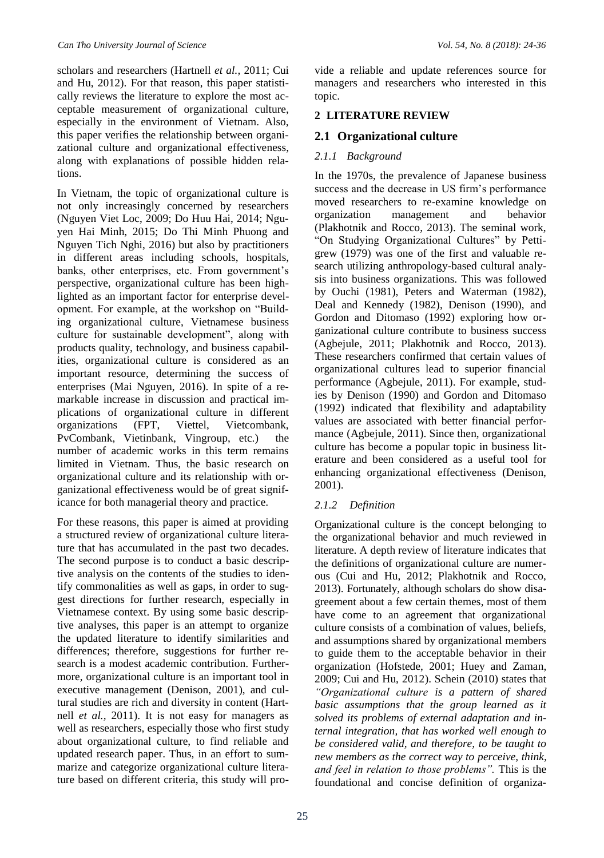scholars and researchers (Hartnell *et al.,* 2011; Cui and Hu, 2012). For that reason, this paper statistically reviews the literature to explore the most acceptable measurement of organizational culture, especially in the environment of Vietnam. Also, this paper verifies the relationship between organizational culture and organizational effectiveness, along with explanations of possible hidden relations.

In Vietnam, the topic of organizational culture is not only increasingly concerned by researchers (Nguyen Viet Loc, 2009; Do Huu Hai, 2014; Nguyen Hai Minh, 2015; Do Thi Minh Phuong and Nguyen Tich Nghi, 2016) but also by practitioners in different areas including schools, hospitals, banks, other enterprises, etc. From government's perspective, organizational culture has been highlighted as an important factor for enterprise development. For example, at the workshop on "Building organizational culture, Vietnamese business culture for sustainable development", along with products quality, technology, and business capabilities, organizational culture is considered as an important resource, determining the success of enterprises (Mai Nguyen, 2016). In spite of a remarkable increase in discussion and practical implications of organizational culture in different organizations (FPT, Viettel, Vietcombank, PvCombank, Vietinbank, Vingroup, etc.) the number of academic works in this term remains limited in Vietnam. Thus, the basic research on organizational culture and its relationship with organizational effectiveness would be of great significance for both managerial theory and practice.

For these reasons, this paper is aimed at providing a structured review of organizational culture literature that has accumulated in the past two decades. The second purpose is to conduct a basic descriptive analysis on the contents of the studies to identify commonalities as well as gaps, in order to suggest directions for further research, especially in Vietnamese context. By using some basic descriptive analyses, this paper is an attempt to organize the updated literature to identify similarities and differences; therefore, suggestions for further research is a modest academic contribution. Furthermore, organizational culture is an important tool in executive management (Denison, 2001), and cultural studies are rich and diversity in content (Hartnell *et al.,* 2011). It is not easy for managers as well as researchers, especially those who first study about organizational culture, to find reliable and updated research paper. Thus, in an effort to summarize and categorize organizational culture literature based on different criteria, this study will provide a reliable and update references source for managers and researchers who interested in this topic.

### **2 LITERATURE REVIEW**

## **2.1 Organizational culture**

### *2.1.1 Background*

In the 1970s, the prevalence of Japanese business success and the decrease in US firm's performance moved researchers to re-examine knowledge on organization management and behavior (Plakhotnik and Rocco, 2013). The seminal work, "On Studying Organizational Cultures" by Pettigrew (1979) was one of the first and valuable research utilizing anthropology-based cultural analysis into business organizations. This was followed by Ouchi (1981), Peters and Waterman (1982), Deal and Kennedy (1982), Denison (1990), and Gordon and Ditomaso (1992) exploring how organizational culture contribute to business success (Agbejule, 2011; Plakhotnik and Rocco, 2013). These researchers confirmed that certain values of organizational cultures lead to superior financial performance (Agbejule, 2011). For example, studies by Denison (1990) and Gordon and Ditomaso (1992) indicated that flexibility and adaptability values are associated with better financial performance (Agbejule, 2011). Since then, organizational culture has become a popular topic in business literature and been considered as a useful tool for enhancing organizational effectiveness (Denison, 2001).

#### *2.1.2 Definition*

Organizational culture is the concept belonging to the organizational behavior and much reviewed in literature. A depth review of literature indicates that the definitions of organizational culture are numerous (Cui and Hu, 2012; Plakhotnik and Rocco, 2013). Fortunately, although scholars do show disagreement about a few certain themes, most of them have come to an agreement that organizational culture consists of a combination of values, beliefs, and assumptions shared by organizational members to guide them to the acceptable behavior in their organization (Hofstede, 2001; Huey and Zaman, 2009; Cui and Hu, 2012). Schein (2010) states that *"Organizational culture is a pattern of shared basic assumptions that the group learned as it solved its problems of external adaptation and internal integration, that has worked well enough to be considered valid, and therefore, to be taught to new members as the correct way to perceive, think, and feel in relation to those problems".* This is the foundational and concise definition of organiza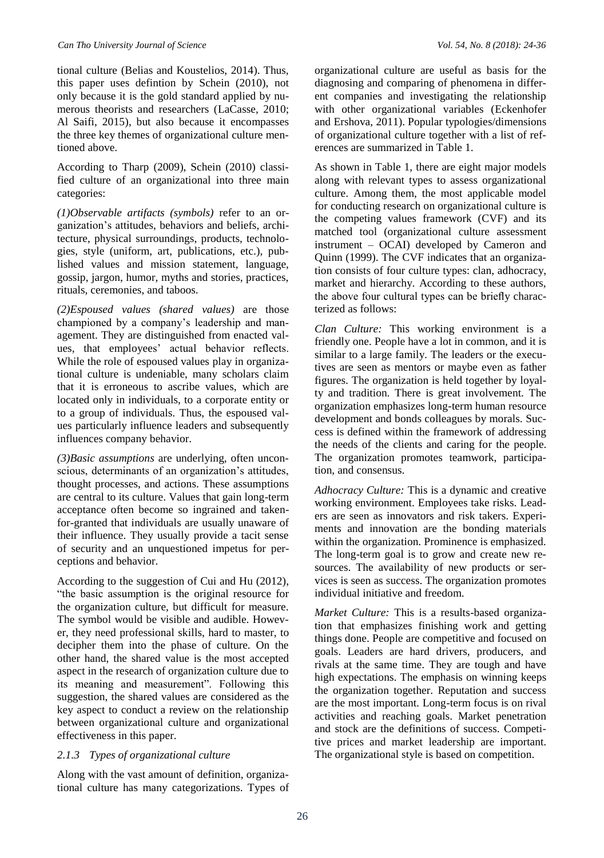tional culture (Belias and Koustelios, 2014). Thus, this paper uses defintion by Schein (2010), not only because it is the gold standard applied by numerous theorists and researchers (LaCasse, 2010; Al Saifi, 2015), but also because it encompasses the three key themes of organizational culture mentioned above.

According to Tharp (2009), Schein (2010) classified culture of an organizational into three main categories:

*(1)Observable artifacts (symbols)* refer to an organization's attitudes, behaviors and beliefs, architecture, physical surroundings, products, technologies, style (uniform, art, publications, etc.), published values and mission statement, language, gossip, jargon, humor, myths and stories, practices, rituals, ceremonies, and taboos.

*(2)Espoused values (shared values)* are those championed by a company's leadership and management. They are distinguished from enacted values, that employees' actual behavior reflects. While the role of espoused values play in organizational culture is undeniable, many scholars claim that it is erroneous to ascribe values, which are located only in individuals, to a corporate entity or to a group of individuals. Thus, the espoused values particularly influence leaders and subsequently influences company behavior.

*(3)Basic assumptions* are underlying, often unconscious, determinants of an organization's attitudes, thought processes, and actions. These assumptions are central to its culture. Values that gain long-term acceptance often become so ingrained and takenfor-granted that individuals are usually unaware of their influence. They usually provide a tacit sense of security and an unquestioned impetus for perceptions and behavior.

According to the suggestion of Cui and Hu (2012), "the basic assumption is the original resource for the organization culture, but difficult for measure. The symbol would be visible and audible. However, they need professional skills, hard to master, to decipher them into the phase of culture. On the other hand, the shared value is the most accepted aspect in the research of organization culture due to its meaning and measurement". Following this suggestion, the shared values are considered as the key aspect to conduct a review on the relationship between organizational culture and organizational effectiveness in this paper.

#### *2.1.3 Types of organizational culture*

Along with the vast amount of definition, organizational culture has many categorizations. Types of organizational culture are useful as basis for the diagnosing and comparing of phenomena in different companies and investigating the relationship with other organizational variables (Eckenhofer and Ershova, 2011). Popular typologies/dimensions of organizational culture together with a list of references are summarized in Table 1.

As shown in Table 1, there are eight major models along with relevant types to assess organizational culture. Among them, the most applicable model for conducting research on organizational culture is the competing values framework (CVF) and its matched tool (organizational culture assessment instrument – OCAI) developed by Cameron and Quinn (1999). The CVF indicates that an organization consists of four culture types: clan, adhocracy, market and hierarchy. According to these authors, the above four cultural types can be briefly characterized as follows:

*Clan Culture:* This working environment is a friendly one. People have a lot in common, and it is similar to a large family. The leaders or the executives are seen as mentors or maybe even as father figures. The organization is held together by loyalty and tradition. There is great involvement. The organization emphasizes long-term human resource development and bonds colleagues by morals. Success is defined within the framework of addressing the needs of the clients and caring for the people. The organization promotes teamwork, participation, and consensus.

*Adhocracy Culture:* This is a dynamic and creative working environment. Employees take risks. Leaders are seen as innovators and risk takers. Experiments and innovation are the bonding materials within the organization. Prominence is emphasized. The long-term goal is to grow and create new resources. The availability of new products or services is seen as success. The organization promotes individual initiative and freedom.

*Market Culture:* This is a results-based organization that emphasizes finishing work and getting things done. People are competitive and focused on goals. Leaders are hard drivers, producers, and rivals at the same time. They are tough and have high expectations. The emphasis on winning keeps the organization together. Reputation and success are the most important. Long-term focus is on rival activities and reaching goals. Market penetration and stock are the definitions of success. Competitive prices and market leadership are important. The organizational style is based on competition.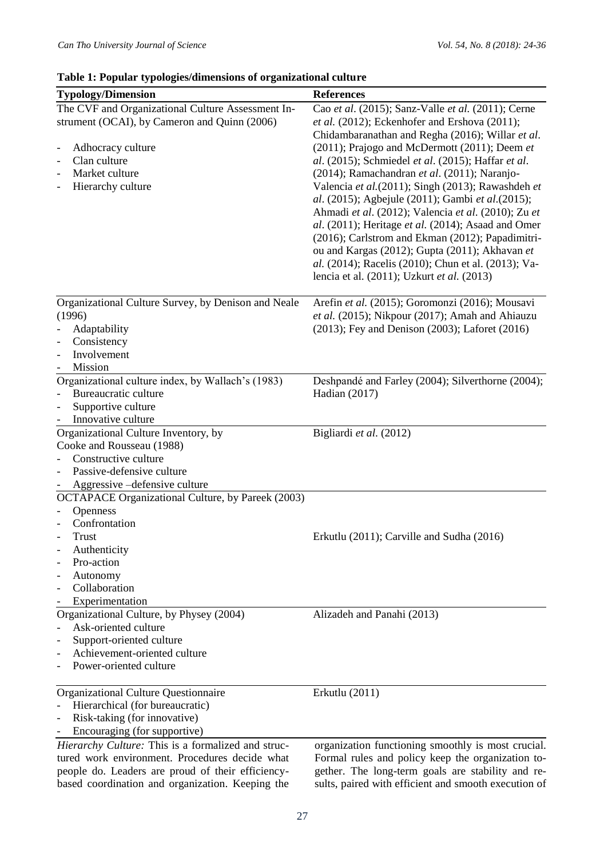| <b>Typology/Dimension</b>                                | <b>References</b>                                                                                                                                                                                                                                                                                                                                                                                                             |  |  |  |  |
|----------------------------------------------------------|-------------------------------------------------------------------------------------------------------------------------------------------------------------------------------------------------------------------------------------------------------------------------------------------------------------------------------------------------------------------------------------------------------------------------------|--|--|--|--|
| The CVF and Organizational Culture Assessment In-        | Cao et al. (2015); Sanz-Valle et al. (2011); Cerne                                                                                                                                                                                                                                                                                                                                                                            |  |  |  |  |
| strument (OCAI), by Cameron and Quinn (2006)             | et al. (2012); Eckenhofer and Ershova (2011);<br>Chidambaranathan and Regha (2016); Willar et al.                                                                                                                                                                                                                                                                                                                             |  |  |  |  |
| Adhocracy culture<br>$\overline{\phantom{0}}$            | (2011); Prajogo and McDermott (2011); Deem et                                                                                                                                                                                                                                                                                                                                                                                 |  |  |  |  |
| Clan culture<br>$\overline{\phantom{a}}$                 | al. (2015); Schmiedel et al. (2015); Haffar et al.                                                                                                                                                                                                                                                                                                                                                                            |  |  |  |  |
| Market culture<br>$\overline{\phantom{a}}$               | (2014); Ramachandran et al. (2011); Naranjo-                                                                                                                                                                                                                                                                                                                                                                                  |  |  |  |  |
| Hierarchy culture                                        | Valencia et al.(2011); Singh (2013); Rawashdeh et<br>al. (2015); Agbejule (2011); Gambi et al.(2015);<br>Ahmadi et al. (2012); Valencia et al. (2010); Zu et<br>al. (2011); Heritage et al. (2014); Asaad and Omer<br>(2016); Carlstrom and Ekman (2012); Papadimitri-<br>ou and Kargas (2012); Gupta (2011); Akhavan et<br>al. (2014); Racelis (2010); Chun et al. (2013); Va-<br>lencia et al. (2011); Uzkurt et al. (2013) |  |  |  |  |
| Organizational Culture Survey, by Denison and Neale      | Arefin et al. (2015); Goromonzi (2016); Mousavi                                                                                                                                                                                                                                                                                                                                                                               |  |  |  |  |
| (1996)                                                   | et al. (2015); Nikpour (2017); Amah and Ahiauzu                                                                                                                                                                                                                                                                                                                                                                               |  |  |  |  |
| Adaptability<br>$\overline{a}$                           | (2013); Fey and Denison (2003); Laforet (2016)                                                                                                                                                                                                                                                                                                                                                                                |  |  |  |  |
| Consistency<br>$\overline{a}$                            |                                                                                                                                                                                                                                                                                                                                                                                                                               |  |  |  |  |
| Involvement<br>$\overline{\phantom{0}}$                  |                                                                                                                                                                                                                                                                                                                                                                                                                               |  |  |  |  |
| <b>Mission</b>                                           |                                                                                                                                                                                                                                                                                                                                                                                                                               |  |  |  |  |
| Organizational culture index, by Wallach's (1983)        | Deshpandé and Farley (2004); Silverthorne (2004);                                                                                                                                                                                                                                                                                                                                                                             |  |  |  |  |
| Bureaucratic culture                                     | Hadian (2017)                                                                                                                                                                                                                                                                                                                                                                                                                 |  |  |  |  |
| Supportive culture<br>$\overline{\phantom{0}}$           |                                                                                                                                                                                                                                                                                                                                                                                                                               |  |  |  |  |
| Innovative culture                                       |                                                                                                                                                                                                                                                                                                                                                                                                                               |  |  |  |  |
| Organizational Culture Inventory, by                     | Bigliardi et al. (2012)                                                                                                                                                                                                                                                                                                                                                                                                       |  |  |  |  |
| Cooke and Rousseau (1988)                                |                                                                                                                                                                                                                                                                                                                                                                                                                               |  |  |  |  |
| Constructive culture                                     |                                                                                                                                                                                                                                                                                                                                                                                                                               |  |  |  |  |
| Passive-defensive culture                                |                                                                                                                                                                                                                                                                                                                                                                                                                               |  |  |  |  |
| Aggressive -defensive culture                            |                                                                                                                                                                                                                                                                                                                                                                                                                               |  |  |  |  |
| OCTAPACE Organizational Culture, by Pareek (2003)        |                                                                                                                                                                                                                                                                                                                                                                                                                               |  |  |  |  |
| Openness                                                 |                                                                                                                                                                                                                                                                                                                                                                                                                               |  |  |  |  |
| Confrontation<br>$\overline{\phantom{a}}$                |                                                                                                                                                                                                                                                                                                                                                                                                                               |  |  |  |  |
| Trust<br>$\overline{\phantom{a}}$                        | Erkutlu (2011); Carville and Sudha (2016)                                                                                                                                                                                                                                                                                                                                                                                     |  |  |  |  |
| Authenticity<br>$\overline{\phantom{0}}$                 |                                                                                                                                                                                                                                                                                                                                                                                                                               |  |  |  |  |
| Pro-action<br>$\overline{a}$                             |                                                                                                                                                                                                                                                                                                                                                                                                                               |  |  |  |  |
| Autonomy                                                 |                                                                                                                                                                                                                                                                                                                                                                                                                               |  |  |  |  |
| Collaboration                                            |                                                                                                                                                                                                                                                                                                                                                                                                                               |  |  |  |  |
| Experimentation                                          |                                                                                                                                                                                                                                                                                                                                                                                                                               |  |  |  |  |
| Organizational Culture, by Physey (2004)                 | Alizadeh and Panahi (2013)                                                                                                                                                                                                                                                                                                                                                                                                    |  |  |  |  |
| Ask-oriented culture                                     |                                                                                                                                                                                                                                                                                                                                                                                                                               |  |  |  |  |
| Support-oriented culture<br>Achievement-oriented culture |                                                                                                                                                                                                                                                                                                                                                                                                                               |  |  |  |  |
|                                                          |                                                                                                                                                                                                                                                                                                                                                                                                                               |  |  |  |  |
| Power-oriented culture                                   |                                                                                                                                                                                                                                                                                                                                                                                                                               |  |  |  |  |
| Organizational Culture Questionnaire                     | Erkutlu $(2011)$                                                                                                                                                                                                                                                                                                                                                                                                              |  |  |  |  |
| Hierarchical (for bureaucratic)                          |                                                                                                                                                                                                                                                                                                                                                                                                                               |  |  |  |  |
| Risk-taking (for innovative)                             |                                                                                                                                                                                                                                                                                                                                                                                                                               |  |  |  |  |
| Encouraging (for supportive)                             |                                                                                                                                                                                                                                                                                                                                                                                                                               |  |  |  |  |
| Hierarchy Culture: This is a formalized and struc-       | organization functioning smoothly is most crucial.                                                                                                                                                                                                                                                                                                                                                                            |  |  |  |  |
| tured work environment. Procedures decide what           | Formal rules and policy keep the organization to-                                                                                                                                                                                                                                                                                                                                                                             |  |  |  |  |

tured work environment. Procedures decide what people do. Leaders are proud of their efficiencybased coordination and organization. Keeping the

Formal rules and policy keep the organization together. The long-term goals are stability and results, paired with efficient and smooth execution of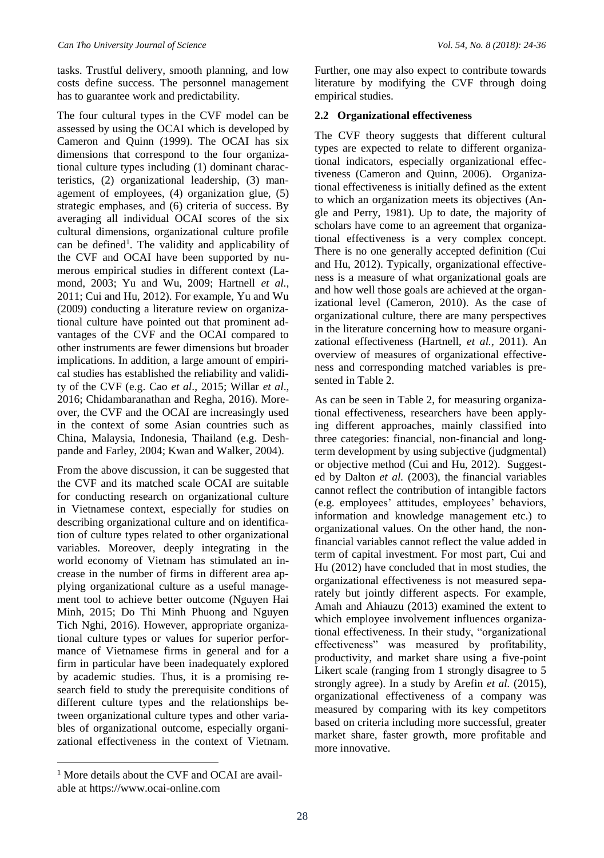tasks. Trustful delivery, smooth planning, and low costs define success. The personnel management has to guarantee work and predictability.

The four cultural types in the CVF model can be assessed by using the OCAI which is developed by Cameron and Quinn (1999). The OCAI has six dimensions that correspond to the four organizational culture types including (1) dominant characteristics, (2) organizational leadership, (3) management of employees, (4) organization glue, (5) strategic emphases, and (6) criteria of success. By averaging all individual OCAI scores of the six cultural dimensions, organizational culture profile can be defined<sup>1</sup>. The validity and applicability of the CVF and OCAI have been supported by numerous empirical studies in different context (Lamond, 2003; Yu and Wu, 2009; Hartnell *et al.,*  2011; Cui and Hu, 2012). For example, Yu and Wu (2009) conducting a literature review on organizational culture have pointed out that prominent advantages of the CVF and the OCAI compared to other instruments are fewer dimensions but broader implications. In addition, a large amount of empirical studies has established the reliability and validity of the CVF (e.g. Cao *et al*., 2015; Willar *et al*., 2016; Chidambaranathan and Regha, 2016). Moreover, the CVF and the OCAI are increasingly used in the context of some Asian countries such as China, Malaysia, Indonesia, Thailand (e.g. Deshpande and Farley, 2004; Kwan and Walker, 2004).

From the above discussion, it can be suggested that the CVF and its matched scale OCAI are suitable for conducting research on organizational culture in Vietnamese context, especially for studies on describing organizational culture and on identification of culture types related to other organizational variables. Moreover, deeply integrating in the world economy of Vietnam has stimulated an increase in the number of firms in different area applying organizational culture as a useful management tool to achieve better outcome (Nguyen Hai Minh, 2015; Do Thi Minh Phuong and Nguyen Tich Nghi, 2016). However, appropriate organizational culture types or values for superior performance of Vietnamese firms in general and for a firm in particular have been inadequately explored by academic studies. Thus, it is a promising research field to study the prerequisite conditions of different culture types and the relationships between organizational culture types and other variables of organizational outcome, especially organizational effectiveness in the context of Vietnam.

Further, one may also expect to contribute towards literature by modifying the CVF through doing empirical studies.

#### **2.2 Organizational effectiveness**

The CVF theory suggests that different cultural types are expected to relate to different organizational indicators, especially organizational effectiveness (Cameron and Quinn, 2006). Organizational effectiveness is initially defined as the extent to which an organization meets its objectives (Angle and Perry, 1981). Up to date, the majority of scholars have come to an agreement that organizational effectiveness is a very complex concept. There is no one generally accepted definition (Cui and Hu, 2012). Typically, organizational effectiveness is a measure of what organizational goals are and how well those goals are achieved at the organizational level (Cameron, 2010). As the case of organizational culture, there are many perspectives in the literature concerning how to measure organizational effectiveness (Hartnell, *et al.,* 2011). An overview of measures of organizational effectiveness and corresponding matched variables is presented in Table 2.

As can be seen in Table 2, for measuring organizational effectiveness, researchers have been applying different approaches, mainly classified into three categories: financial, non-financial and longterm development by using subjective (judgmental) or objective method (Cui and Hu, 2012). Suggested by Dalton *et al.* (2003), the financial variables cannot reflect the contribution of intangible factors (e.g. employees' attitudes, employees' behaviors, information and knowledge management etc.) to organizational values. On the other hand, the nonfinancial variables cannot reflect the value added in term of capital investment. For most part, Cui and Hu (2012) have concluded that in most studies, the organizational effectiveness is not measured separately but jointly different aspects. For example, Amah and Ahiauzu (2013) examined the extent to which employee involvement influences organizational effectiveness. In their study, "organizational effectiveness" was measured by profitability, productivity, and market share using a five-point Likert scale (ranging from 1 strongly disagree to 5 strongly agree). In a study by Arefin *et al.* (2015), organizational effectiveness of a company was measured by comparing with its key competitors based on criteria including more successful, greater market share, faster growth, more profitable and more innovative.

1

<sup>1</sup> More details about the CVF and OCAI are available at https://www.ocai-online.com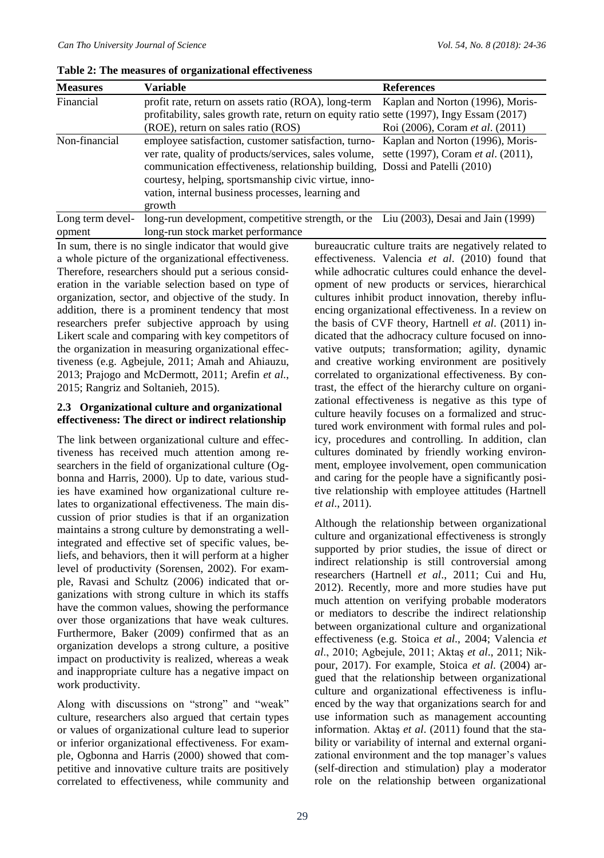| <b>Measures</b>            | Variable                                                                                                                                                                                                                                                                                                                                                                                 | <b>References</b>                      |  |  |
|----------------------------|------------------------------------------------------------------------------------------------------------------------------------------------------------------------------------------------------------------------------------------------------------------------------------------------------------------------------------------------------------------------------------------|----------------------------------------|--|--|
| Financial                  | profit rate, return on assets ratio (ROA), long-term Kaplan and Norton (1996), Moris-<br>profitability, sales growth rate, return on equity ratio sette (1997), Ingy Essam (2017)<br>(ROE), return on sales ratio (ROS)                                                                                                                                                                  | Roi (2006), Coram <i>et al.</i> (2011) |  |  |
| Non-financial              | employee satisfaction, customer satisfaction, turno- Kaplan and Norton (1996), Moris-<br>ver rate, quality of products/services, sales volume, sette (1997), Coram et al. (2011),<br>communication effectiveness, relationship building, Dossi and Patelli (2010)<br>courtesy, helping, sportsmanship civic virtue, inno-<br>vation, internal business processes, learning and<br>growth |                                        |  |  |
| Long term devel-<br>opment | long-run development, competitive strength, or the Liu (2003), Desai and Jain (1999)<br>long-run stock market performance                                                                                                                                                                                                                                                                |                                        |  |  |

**Table 2: The measures of organizational effectiveness**

long-run stock market performance In sum, there is no single indicator that would give a whole picture of the organizational effectiveness. Therefore, researchers should put a serious consideration in the variable selection based on type of organization, sector, and objective of the study. In addition, there is a prominent tendency that most researchers prefer subjective approach by using Likert scale and comparing with key competitors of the organization in measuring organizational effectiveness (e.g. Agbejule, 2011; Amah and Ahiauzu, 2013; Prajogo and McDermott, 2011; Arefin *et al.*, 2015; Rangriz and Soltanieh, 2015).

#### **2.3 Organizational culture and organizational effectiveness: The direct or indirect relationship**

The link between organizational culture and effectiveness has received much attention among researchers in the field of organizational culture (Ogbonna and Harris, 2000). Up to date, various studies have examined how organizational culture relates to organizational effectiveness. The main discussion of prior studies is that if an organization maintains a strong culture by demonstrating a wellintegrated and effective set of specific values, beliefs, and behaviors, then it will perform at a higher level of productivity (Sorensen, 2002). For example, Ravasi and Schultz (2006) indicated that organizations with strong culture in which its staffs have the common values, showing the performance over those organizations that have weak cultures. Furthermore, Baker (2009) confirmed that as an organization develops a strong culture, a positive impact on productivity is realized, whereas a weak and inappropriate culture has a negative impact on work productivity.

Along with discussions on "strong" and "weak" culture, researchers also argued that certain types or values of organizational culture lead to superior or inferior organizational effectiveness. For example, Ogbonna and Harris (2000) showed that competitive and innovative culture traits are positively correlated to effectiveness, while community and bureaucratic culture traits are negatively related to effectiveness. Valencia *et al*. (2010) found that while adhocratic cultures could enhance the development of new products or services, hierarchical cultures inhibit product innovation, thereby influencing organizational effectiveness. In a review on the basis of CVF theory, Hartnell *et al*. (2011) indicated that the adhocracy culture focused on innovative outputs; transformation; agility, dynamic and creative working environment are positively correlated to organizational effectiveness. By contrast, the effect of the hierarchy culture on organizational effectiveness is negative as this type of culture heavily focuses on a formalized and structured work environment with formal rules and policy, procedures and controlling. In addition, clan cultures dominated by friendly working environment, employee involvement, open communication and caring for the people have a significantly positive relationship with employee attitudes (Hartnell *et al*., 2011).

Although the relationship between organizational culture and organizational effectiveness is strongly supported by prior studies, the issue of direct or indirect relationship is still controversial among researchers (Hartnell *et al*., 2011; Cui and Hu, 2012). Recently, more and more studies have put much attention on verifying probable moderators or mediators to describe the indirect relationship between organizational culture and organizational effectiveness (e.g. Stoica *et al*., 2004; Valencia *et al*., 2010; Agbejule, 2011; Aktaş *et al*., 2011; Nikpour, 2017). For example, Stoica *et al*. (2004) argued that the relationship between organizational culture and organizational effectiveness is influenced by the way that organizations search for and use information such as management accounting information. Aktaş *et al*. (2011) found that the stability or variability of internal and external organizational environment and the top manager's values (self-direction and stimulation) play a moderator role on the relationship between organizational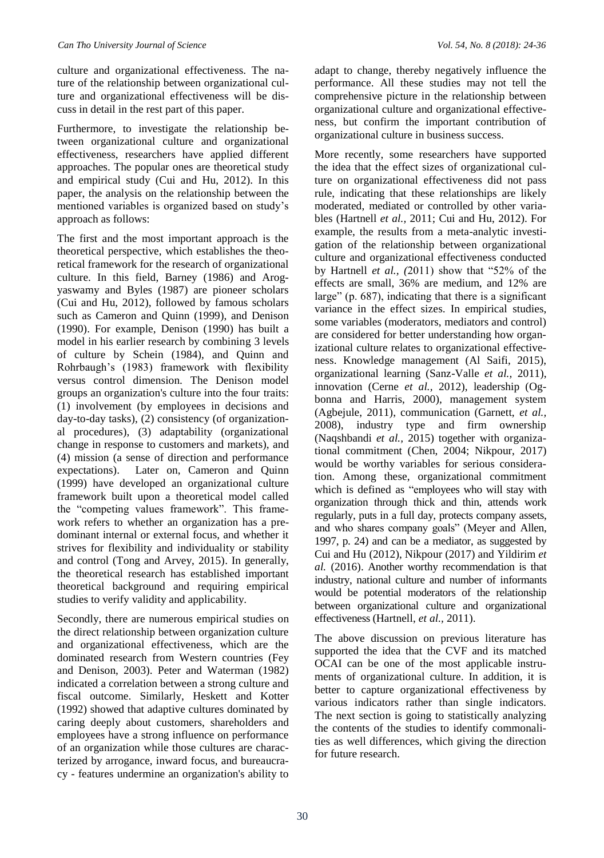culture and organizational effectiveness. The nature of the relationship between organizational culture and organizational effectiveness will be discuss in detail in the rest part of this paper.

Furthermore, to investigate the relationship between organizational culture and organizational effectiveness, researchers have applied different approaches. The popular ones are theoretical study and empirical study (Cui and Hu, 2012). In this paper, the analysis on the relationship between the mentioned variables is organized based on study's approach as follows:

The first and the most important approach is the theoretical perspective, which establishes the theoretical framework for the research of organizational culture. In this field, Barney (1986) and Arogyaswamy and Byles (1987) are pioneer scholars (Cui and Hu, 2012), followed by famous scholars such as Cameron and Quinn (1999), and Denison (1990). For example, Denison (1990) has built a model in his earlier research by combining 3 levels of culture by Schein (1984), and Quinn and Rohrbaugh's (1983) framework with flexibility versus control dimension. The Denison model groups an organization's culture into the four traits: (1) involvement (by employees in decisions and day-to-day tasks), (2) consistency (of organizational procedures), (3) adaptability (organizational change in response to customers and markets), and (4) mission (a sense of direction and performance expectations). Later on, Cameron and Quinn (1999) have developed an organizational culture framework built upon a theoretical model called the "competing values framework". This framework refers to whether an organization has a predominant internal or external focus, and whether it strives for flexibility and individuality or stability and control (Tong and Arvey, 2015). In generally, the theoretical research has established important theoretical background and requiring empirical studies to verify validity and applicability.

Secondly, there are numerous empirical studies on the direct relationship between organization culture and organizational effectiveness, which are the dominated research from Western countries (Fey and Denison, 2003). Peter and Waterman (1982) indicated a correlation between a strong culture and fiscal outcome. Similarly, Heskett and Kotter (1992) showed that adaptive cultures dominated by caring deeply about customers, shareholders and employees have a strong influence on performance of an organization while those cultures are characterized by arrogance, inward focus, and bureaucracy - features undermine an organization's ability to

adapt to change, thereby negatively influence the performance. All these studies may not tell the comprehensive picture in the relationship between organizational culture and organizational effectiveness, but confirm the important contribution of organizational culture in business success.

More recently, some researchers have supported the idea that the effect sizes of organizational culture on organizational effectiveness did not pass rule, indicating that these relationships are likely moderated, mediated or controlled by other variables (Hartnell *et al.,* 2011; Cui and Hu, 2012). For example, the results from a meta-analytic investigation of the relationship between organizational culture and organizational effectiveness conducted by Hartnell *et al., (*2011) show that "52% of the effects are small, 36% are medium, and 12% are large" (p. 687), indicating that there is a significant variance in the effect sizes. In empirical studies, some variables (moderators, mediators and control) are considered for better understanding how organizational culture relates to organizational effectiveness. Knowledge management (Al Saifi, 2015), organizational learning (Sanz-Valle *et al.,* 2011), innovation (Cerne *et al.,* 2012), leadership (Ogbonna and Harris, 2000), management system (Agbejule, 2011), communication (Garnett, *et al.,*  2008), industry type and firm ownership (Naqshbandi *et al.,* 2015) together with organizational commitment (Chen, 2004; Nikpour, 2017) would be worthy variables for serious consideration. Among these, organizational commitment which is defined as "employees who will stay with organization through thick and thin, attends work regularly, puts in a full day, protects company assets, and who shares company goals" (Meyer and Allen, 1997, p. 24) and can be a mediator, as suggested by Cui and Hu (2012), Nikpour (2017) and Yildirim *et al.* (2016). Another worthy recommendation is that industry, national culture and number of informants would be potential moderators of the relationship between organizational culture and organizational effectiveness (Hartnell, *et al.,* 2011).

The above discussion on previous literature has supported the idea that the CVF and its matched OCAI can be one of the most applicable instruments of organizational culture. In addition, it is better to capture organizational effectiveness by various indicators rather than single indicators. The next section is going to statistically analyzing the contents of the studies to identify commonalities as well differences, which giving the direction for future research.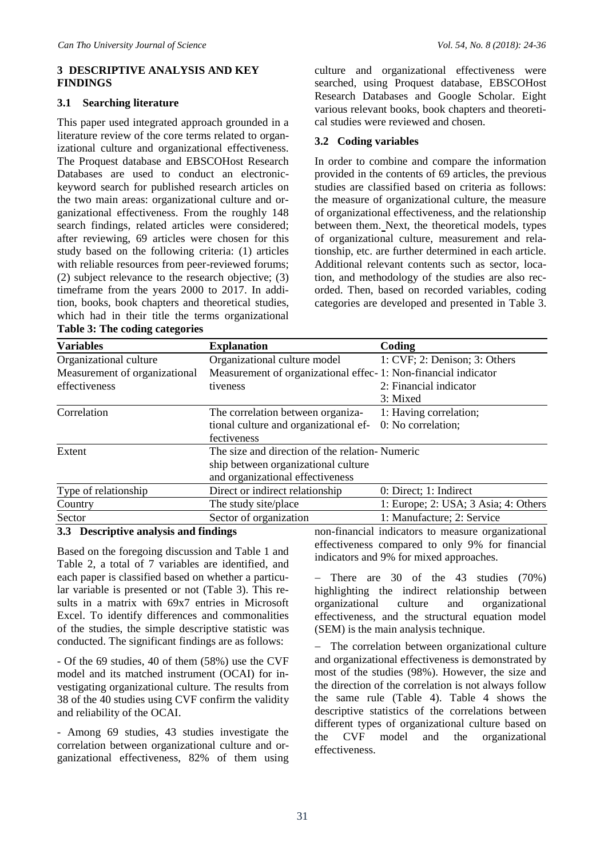#### **3 DESCRIPTIVE ANALYSIS AND KEY FINDINGS**

#### **3.1 Searching literature**

This paper used integrated approach grounded in a literature review of the core terms related to organizational culture and organizational effectiveness. The Proquest database and EBSCOHost Research Databases are used to conduct an electronickeyword search for published research articles on the two main areas: organizational culture and organizational effectiveness. From the roughly 148 search findings, related articles were considered; after reviewing, 69 articles were chosen for this study based on the following criteria: (1) articles with reliable resources from peer-reviewed forums; (2) subject relevance to the research objective; (3) timeframe from the years 2000 to 2017. In addition, books, book chapters and theoretical studies, which had in their title the terms organizational

culture and organizational effectiveness were searched, using Proquest database, EBSCOHost Research Databases and Google Scholar. Eight various relevant books, book chapters and theoretical studies were reviewed and chosen.

#### **3.2 Coding variables**

In order to combine and compare the information provided in the contents of 69 articles, the previous studies are classified based on criteria as follows: the measure of organizational culture, the measure of organizational effectiveness, and the relationship between them. Next, the theoretical models, types of organizational culture, measurement and relationship, etc. are further determined in each article. Additional relevant contents such as sector, location, and methodology of the studies are also recorded. Then, based on recorded variables, coding categories are developed and presented in Table 3.

| 1: CVF; 2: Denison; 3: Others                                  |
|----------------------------------------------------------------|
|                                                                |
| Measurement of organizational effec-1: Non-financial indicator |
| 2: Financial indicator                                         |
| 3: Mixed                                                       |
| 1: Having correlation;                                         |
| 0: No correlation;                                             |
|                                                                |
| The size and direction of the relation-Numeric                 |
|                                                                |
|                                                                |
| 0: Direct; 1: Indirect                                         |
| 1: Europe; 2: USA; 3 Asia; 4: Others                           |
| 1: Manufacture; 2: Service                                     |
|                                                                |

#### **Table 3: The coding categories**

#### **3.3 Descriptive analysis and findings**

Based on the foregoing discussion and Table 1 and Table 2, a total of 7 variables are identified, and each paper is classified based on whether a particular variable is presented or not (Table 3). This results in a matrix with 69x7 entries in Microsoft Excel. To identify differences and commonalities of the studies, the simple descriptive statistic was conducted. The significant findings are as follows:

- Of the 69 studies, 40 of them (58%) use the CVF model and its matched instrument (OCAI) for investigating organizational culture. The results from 38 of the 40 studies using CVF confirm the validity and reliability of the OCAI.

- Among 69 studies, 43 studies investigate the correlation between organizational culture and organizational effectiveness, 82% of them using

non-financial indicators to measure organizational effectiveness compared to only 9% for financial indicators and 9% for mixed approaches.

− There are 30 of the 43 studies (70%) highlighting the indirect relationship between organizational culture and organizational effectiveness, and the structural equation model (SEM) is the main analysis technique.

− The correlation between organizational culture and organizational effectiveness is demonstrated by most of the studies (98%). However, the size and the direction of the correlation is not always follow the same rule (Table 4). Table 4 shows the descriptive statistics of the correlations between different types of organizational culture based on the CVF model and the organizational effectiveness.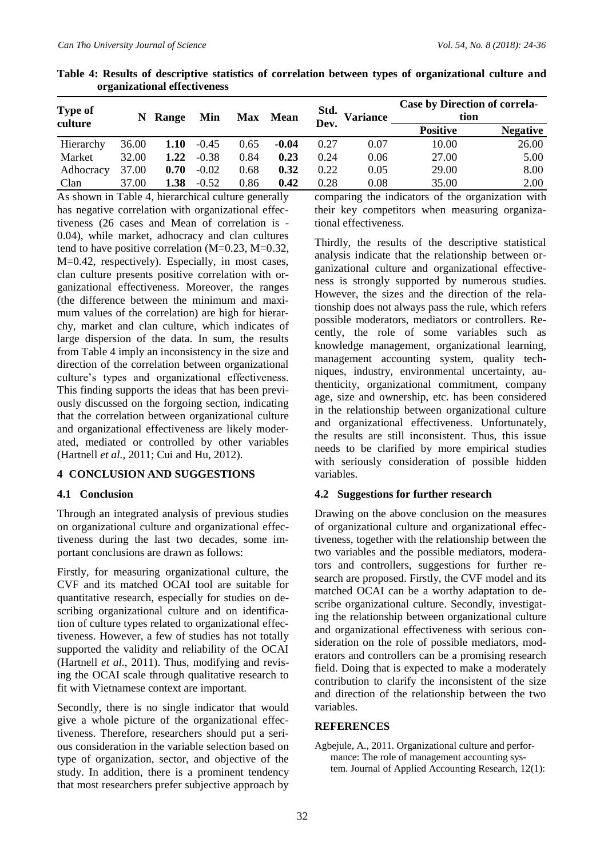| of Campagnomal Checcu (Chebb) |       |       |         |            |             |              |                 |                                              |                 |
|-------------------------------|-------|-------|---------|------------|-------------|--------------|-----------------|----------------------------------------------|-----------------|
| Type of<br>culture            | N     | Range | Min     | <b>Max</b> | <b>Mean</b> | Std.<br>Dev. | <b>Variance</b> | <b>Case by Direction of correla-</b><br>tion |                 |
|                               |       |       |         |            |             |              |                 | <b>Positive</b>                              | <b>Negative</b> |
| Hierarchy                     | 36.00 | 1.10  | $-0.45$ | 0.65       | $-0.04$     | 0.27         | 0.07            | 10.00                                        | 26.00           |
| Market                        | 32.00 | 1.22  | $-0.38$ | 0.84       | 0.23        | 0.24         | 0.06            | 27.00                                        | 5.00            |
| Adhocracy                     | 37.00 | 0.70  | $-0.02$ | 0.68       | 0.32        | 0.22         | 0.05            | 29.00                                        | 8.00            |
| Clan                          | 37.00 | 1.38  | $-0.52$ | 0.86       | 0.42        | 0.28         | 0.08            | 35.00                                        | 2.00            |

**Table 4: Results of descriptive statistics of correlation between types of organizational culture and organizational effectiveness**

As shown in Table 4, hierarchical culture generally has negative correlation with organizational effectiveness (26 cases and Mean of correlation is - 0.04), while market, adhocracy and clan cultures tend to have positive correlation (M=0.23, M=0.32, M=0.42, respectively). Especially, in most cases, clan culture presents positive correlation with organizational effectiveness. Moreover, the ranges (the difference between the minimum and maximum values of the correlation) are high for hierarchy, market and clan culture, which indicates of large dispersion of the data. In sum, the results from Table 4 imply an inconsistency in the size and direction of the correlation between organizational culture's types and organizational effectiveness. This finding supports the ideas that has been previously discussed on the forgoing section, indicating that the correlation between organizational culture and organizational effectiveness are likely moderated, mediated or controlled by other variables (Hartnell *et al.,* 2011; Cui and Hu, 2012).

#### **4 CONCLUSION AND SUGGESTIONS**

#### **4.1 Conclusion**

Through an integrated analysis of previous studies on organizational culture and organizational effectiveness during the last two decades, some important conclusions are drawn as follows:

Firstly, for measuring organizational culture, the CVF and its matched OCAI tool are suitable for quantitative research, especially for studies on describing organizational culture and on identification of culture types related to organizational effectiveness. However, a few of studies has not totally supported the validity and reliability of the OCAI (Hartnell *et al.,* 2011). Thus, modifying and revising the OCAI scale through qualitative research to fit with Vietnamese context are important.

Secondly, there is no single indicator that would give a whole picture of the organizational effectiveness. Therefore, researchers should put a serious consideration in the variable selection based on type of organization, sector, and objective of the study. In addition, there is a prominent tendency that most researchers prefer subjective approach by

comparing the indicators of the organization with their key competitors when measuring organizational effectiveness.

Thirdly, the results of the descriptive statistical analysis indicate that the relationship between organizational culture and organizational effectiveness is strongly supported by numerous studies. However, the sizes and the direction of the relationship does not always pass the rule, which refers possible moderators, mediators or controllers. Recently, the role of some variables such as knowledge management, organizational learning, management accounting system, quality techniques, industry, environmental uncertainty, authenticity, organizational commitment, company age, size and ownership, etc. has been considered in the relationship between organizational culture and organizational effectiveness. Unfortunately, the results are still inconsistent. Thus, this issue needs to be clarified by more empirical studies with seriously consideration of possible hidden variables.

#### **4.2 Suggestions for further research**

Drawing on the above conclusion on the measures of organizational culture and organizational effectiveness, together with the relationship between the two variables and the possible mediators, moderators and controllers, suggestions for further research are proposed. Firstly, the CVF model and its matched OCAI can be a worthy adaptation to describe organizational culture. Secondly, investigating the relationship between organizational culture and organizational effectiveness with serious consideration on the role of possible mediators, moderators and controllers can be a promising research field. Doing that is expected to make a moderately contribution to clarify the inconsistent of the size and direction of the relationship between the two variables.

#### **REFERENCES**

Agbejule, A., 2011. Organizational culture and performance: The role of management accounting system. Journal of Applied Accounting Research, 12(1):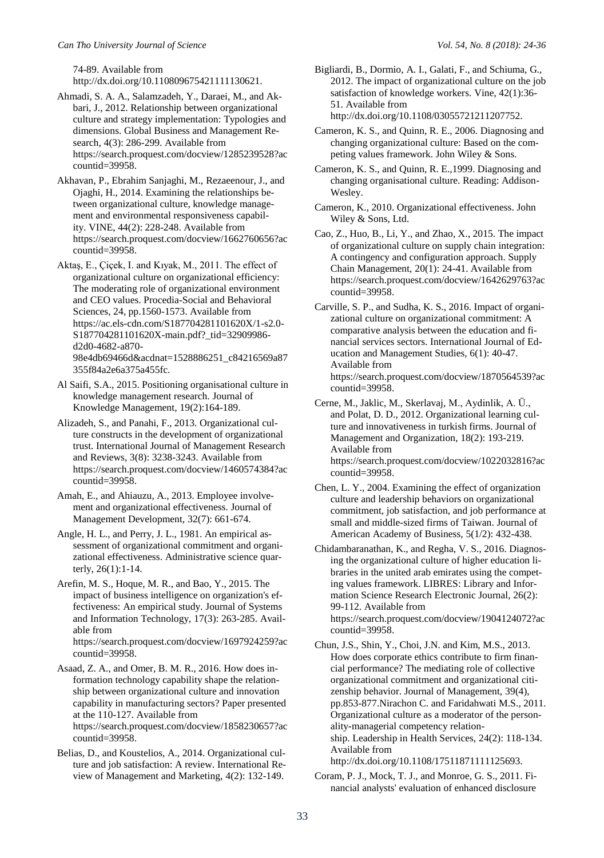74-89. Available from http://dx.doi.org/10.110809675421111130621.

- Ahmadi, S. A. A., Salamzadeh, Y., Daraei, M., and Akbari, J., 2012. Relationship between organizational culture and strategy implementation: Typologies and dimensions. Global Business and Management Research, 4(3): 286-299. Available from https://search.proquest.com/docview/1285239528?ac countid=39958.
- Akhavan, P., Ebrahim Sanjaghi, M., Rezaeenour, J., and Ojaghi, H., 2014. Examining the relationships between organizational culture, knowledge management and environmental responsiveness capability. VINE, 44(2): 228-248. Available from https://search.proquest.com/docview/1662760656?ac countid=39958.
- Aktaş, E., Çiçek, I. and Kıyak, M., 2011. The effect of organizational culture on organizational efficiency: The moderating role of organizational environment and CEO values. Procedia-Social and Behavioral Sciences, 24, pp.1560-1573. Available from https://ac.els-cdn.com/S187704281101620X/1-s2.0- S187704281101620X-main.pdf?\_tid=32909986 d2d0-4682-a870- 98e4db69466d&acdnat=1528886251\_c84216569a87 355f84a2e6a375a455fc.
- Al Saifi, S.A., 2015. Positioning organisational culture in knowledge management research. Journal of Knowledge Management, 19(2):164-189.
- Alizadeh, S., and Panahi, F., 2013. Organizational culture constructs in the development of organizational trust. International Journal of Management Research and Reviews, 3(8): 3238-3243. Available from https://search.proquest.com/docview/1460574384?ac countid=39958.
- Amah, E., and Ahiauzu, A., 2013. Employee involvement and organizational effectiveness. Journal of Management Development, 32(7): 661-674.
- Angle, H. L., and Perry, J. L., 1981. An empirical assessment of organizational commitment and organizational effectiveness. Administrative science quarterly, 26(1):1-14.
- Arefin, M. S., Hoque, M. R., and Bao, Y., 2015. The impact of business intelligence on organization's effectiveness: An empirical study. Journal of Systems and Information Technology, 17(3): 263-285. Available from https://search.proquest.com/docview/1697924259?ac

countid=39958.

- Asaad, Z. A., and Omer, B. M. R., 2016. How does information technology capability shape the relationship between organizational culture and innovation capability in manufacturing sectors? Paper presented at the 110-127. Available from https://search.proquest.com/docview/1858230657?ac countid=39958.
- Belias, D., and Koustelios, A., 2014. Organizational culture and job satisfaction: A review. International Review of Management and Marketing, 4(2): 132-149.
- Bigliardi, B., Dormio, A. I., Galati, F., and Schiuma, G., 2012. The impact of organizational culture on the job satisfaction of knowledge workers. Vine, 42(1):36- 51. Available from http://dx.doi.org/10.1108/03055721211207752.
- Cameron, K. S., and Quinn, R. E., 2006. Diagnosing and changing organizational culture: Based on the competing values framework. John Wiley & Sons.
- Cameron, K. S., and Quinn, R. E.,1999. Diagnosing and changing organisational culture. Reading: Addison-Wesley.
- Cameron, K., 2010. Organizational effectiveness. John Wiley & Sons, Ltd.
- Cao, Z., Huo, B., Li, Y., and Zhao, X., 2015. The impact of organizational culture on supply chain integration: A contingency and configuration approach. Supply Chain Management, 20(1): 24-41. Available from https://search.proquest.com/docview/1642629763?ac countid=39958.
- Carville, S. P., and Sudha, K. S., 2016. Impact of organizational culture on organizational commitment: A comparative analysis between the education and financial services sectors. International Journal of Education and Management Studies, 6(1): 40-47. Available from https://search.proquest.com/docview/1870564539?ac countid=39958.
- Cerne, M., Jaklic, M., Skerlavaj, M., Aydinlik, A. Ü., and Polat, D. D., 2012. Organizational learning culture and innovativeness in turkish firms. Journal of Management and Organization, 18(2): 193-219. Available from https://search.proquest.com/docview/1022032816?ac countid=39958.
- Chen, L. Y., 2004. Examining the effect of organization culture and leadership behaviors on organizational commitment, job satisfaction, and job performance at small and middle-sized firms of Taiwan. Journal of American Academy of Business, 5(1/2): 432-438.
- Chidambaranathan, K., and Regha, V. S., 2016. Diagnosing the organizational culture of higher education libraries in the united arab emirates using the competing values framework. LIBRES: Library and Information Science Research Electronic Journal, 26(2): 99-112. Available from [https://search.proquest.com/docview/1904124072?ac](https://search.proquest.com/docview/1904124072?accountid=39958) [countid=39958.](https://search.proquest.com/docview/1904124072?accountid=39958)
- Chun, J.S., Shin, Y., Choi, J.N. and Kim, M.S., 2013. How does corporate ethics contribute to firm financial performance? The mediating role of collective organizational commitment and organizational citizenship behavior. Journal of Management, 39(4), pp.853-877.Nirachon C. and Faridahwati M.S., 2011. Organizational culture as a moderator of the personality-managerial competency relationship. Leadership in Health Services, 24(2): 118-134. Available from http://dx.doi.org/10.1108/17511871111125693.
- Coram, P. J., Mock, T. J., and Monroe, G. S., 2011. Financial analysts' evaluation of enhanced disclosure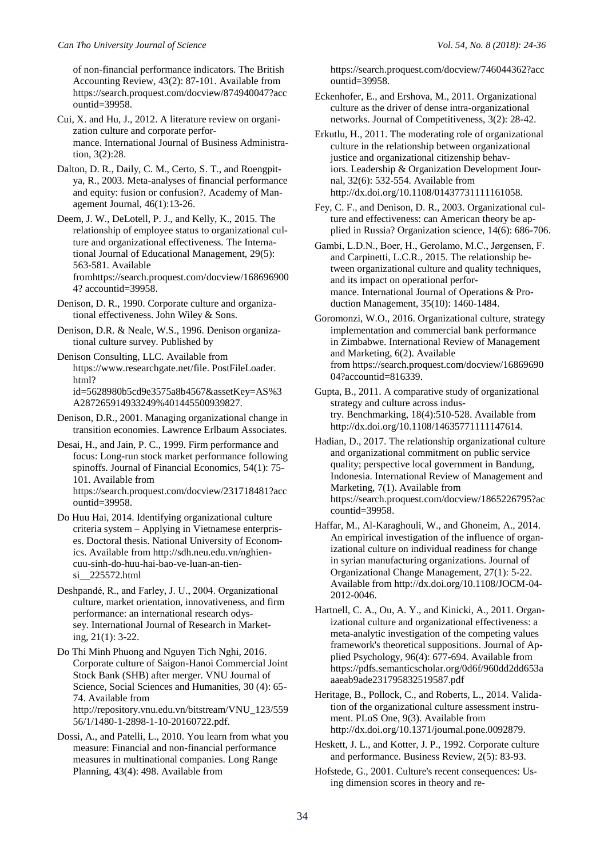of non-financial performance indicators. The British Accounting Review, 43(2): 87-101. Available from https://search.proquest.com/docview/874940047?acc ountid=39958.

- Cui, X. and Hu, J., 2012. A literature review on organization culture and corporate performance. International Journal of Business Administration, 3(2):28.
- Dalton, D. R., Daily, C. M., Certo, S. T., and Roengpitya, R., 2003. Meta-analyses of financial performance and equity: fusion or confusion?. Academy of Management Journal, 46(1):13-26.

Deem, J. W., DeLotell, P. J., and Kelly, K., 2015. The relationship of employee status to organizational culture and organizational effectiveness. The International Journal of Educational Management, 29(5): 563-581. Available fromhttps://search.proquest.com/docview/168696900 4? accountid=39958.

- Denison, D. R., 1990. Corporate culture and organizational effectiveness. John Wiley & Sons.
- Denison, D.R. & Neale, W.S., 1996. Denison organizational culture survey. Published by
- Denison Consulting, LLC. Available from [https://www.researchgate.net/file.](https://www.researchgate.net/file) PostFileLoader. html? id=5628980b5cd9e3575a8b4567&assetKey=AS%3 A287265914933249%401445500939827.
- Denison, D.R., 2001. Managing organizational change in transition economies. Lawrence Erlbaum Associates.
- Desai, H., and Jain, P. C., 1999. Firm performance and focus: Long-run stock market performance following spinoffs. Journal of Financial Economics, 54(1): 75- 101. Available from [https://search.proquest.com/docview/231718481?acc](https://search.proquest.com/docview/231718481?accountid=39958)

[ountid=39958.](https://search.proquest.com/docview/231718481?accountid=39958)

- Do Huu Hai, 2014. Identifying organizational culture criteria system – Applying in Vietnamese enterprises. Doctoral thesis. National University of Economics. Available from http://sdh.neu.edu.vn/nghiencuu-sinh-do-huu-hai-bao-ve-luan-an-tiensi\_\_225572.html
- Deshpandé, R., and Farley, J. U., 2004. Organizational culture, market orientation, innovativeness, and firm performance: an international research odyssey. International Journal of Research in Marketing, 21(1): 3-22.

Do Thi Minh Phuong and Nguyen Tich Nghi, 2016. Corporate culture of Saigon-Hanoi Commercial Joint Stock Bank (SHB) after merger. VNU Journal of Science, Social Sciences and Humanities, 30 (4): 65- 74. Available from http://repository.vnu.edu.vn/bitstream/VNU\_123/559 56/1/1480-1-2898-1-10-20160722.pdf.

Dossi, A., and Patelli, L., 2010. You learn from what you measure: Financial and non-financial performance measures in multinational companies. Long Range Planning, 43(4): 498. Available from

https://search.proquest.com/docview/746044362?acc ountid=39958.

- Eckenhofer, E., and Ershova, M., 2011. Organizational culture as the driver of dense intra-organizational networks. Journal of Competitiveness, 3(2): 28-42.
- Erkutlu, H., 2011. The moderating role of organizational culture in the relationship between organizational justice and organizational citizenship behaviors. Leadership & Organization Development Journal, 32(6): 532-554. Available from http://dx.doi.org/10.1108/01437731111161058.
- Fey, C. F., and Denison, D. R., 2003. Organizational culture and effectiveness: can American theory be applied in Russia? Organization science, 14(6): 686-706.

Gambi, L.D.N., Boer, H., Gerolamo, M.C., Jørgensen, F. and Carpinetti, L.C.R., 2015. The relationship between organizational culture and quality techniques, and its impact on operational performance. International Journal of Operations & Production Management, 35(10): 1460-1484.

- Goromonzi, W.O., 2016. Organizational culture, strategy implementation and commercial bank performance in Zimbabwe. International Review of Management and Marketing, 6(2). Available from https://search.proquest.com/docview/16869690 04?accountid=816339.
- Gupta, B., 2011. A comparative study of organizational strategy and culture across industry. Benchmarking, 18(4):510-528. Available from http://dx.doi.org/10.1108/14635771111147614.
- Hadian, D., 2017. The relationship organizational culture and organizational commitment on public service quality; perspective local government in Bandung, Indonesia. International Review of Management and Marketing, 7(1). Available from https://search.proquest.com/docview/1865226795?ac countid=39958.
- Haffar, M., Al-Karaghouli, W., and Ghoneim, A., 2014. An empirical investigation of the influence of organizational culture on individual readiness for change in syrian manufacturing organizations. Journal of Organizational Change Management, 27(1): 5-22. Available from http://dx.doi.org/10.1108/JOCM-04- 2012-0046.
- Hartnell, C. A., Ou, A. Y., and Kinicki, A., 2011. Organizational culture and organizational effectiveness: a meta-analytic investigation of the competing values framework's theoretical suppositions. Journal of Applied Psychology, 96(4): 677-694. Available from https://pdfs.semanticscholar.org/0d6f/960dd2dd653a aaeab9ade231795832519587.pdf
- Heritage, B., Pollock, C., and Roberts, L., 2014. Validation of the organizational culture assessment instrument. PLoS One, 9(3). Available from http://dx.doi.org/10.1371/journal.pone.0092879.
- Heskett, J. L., and Kotter, J. P., 1992. Corporate culture and performance. Business Review, 2(5): 83-93.
- Hofstede, G., 2001. Culture's recent consequences: Using dimension scores in theory and re-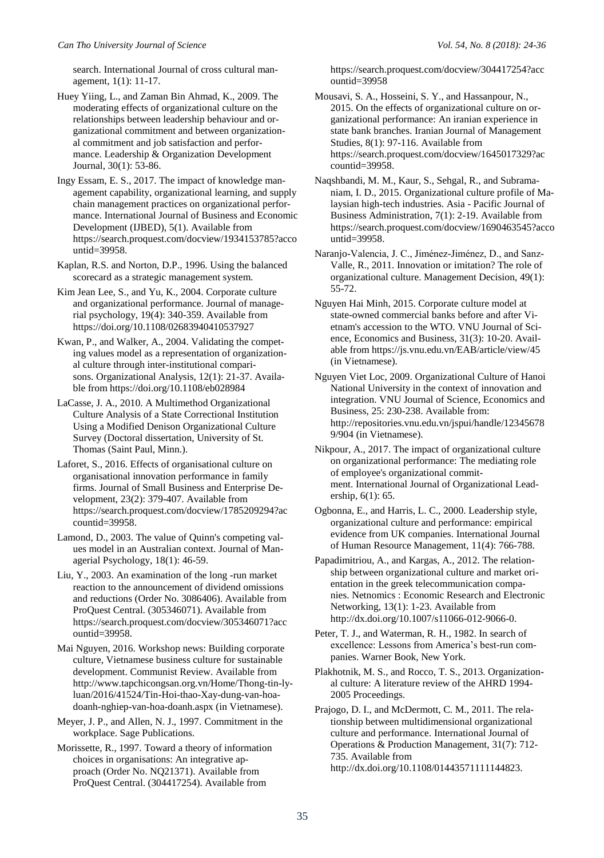search. International Journal of cross cultural management, 1(1): 11-17.

Huey Yiing, L., and Zaman Bin Ahmad, K., 2009. The moderating effects of organizational culture on the relationships between leadership behaviour and organizational commitment and between organizational commitment and job satisfaction and performance. Leadership & Organization Development Journal, 30(1): 53-86.

Ingy Essam, E. S., 2017. The impact of knowledge management capability, organizational learning, and supply chain management practices on organizational performance. International Journal of Business and Economic Development (IJBED), 5(1). Available from https://search.proquest.com/docview/1934153785?acco untid=39958.

Kaplan, R.S. and Norton, D.P., 1996. Using the balanced scorecard as a strategic management system.

Kim Jean Lee, S., and Yu, K., 2004. Corporate culture and organizational performance. Journal of managerial psychology, 19(4): 340-359. Available from https://doi.org/10.1108/02683940410537927

Kwan, P., and Walker, A., 2004. Validating the competing values model as a representation of organizational culture through inter-institutional comparisons. Organizational Analysis, 12(1): 21-37. Available from<https://doi.org/10.1108/eb028984>

LaCasse, J. A., 2010. A Multimethod Organizational Culture Analysis of a State Correctional Institution Using a Modified Denison Organizational Culture Survey (Doctoral dissertation, University of St. Thomas (Saint Paul, Minn.).

Laforet, S., 2016. Effects of organisational culture on organisational innovation performance in family firms. Journal of Small Business and Enterprise Development, 23(2): 379-407. Available from https://search.proquest.com/docview/1785209294?ac countid=39958.

Lamond, D., 2003. The value of Quinn's competing values model in an Australian context. Journal of Managerial Psychology, 18(1): 46-59.

Liu, Y., 2003. An examination of the long -run market reaction to the announcement of dividend omissions and reductions (Order No. 3086406). Available from ProQuest Central. (305346071). Available from https://search.proquest.com/docview/305346071?acc ountid=39958.

Mai Nguyen, 2016. Workshop news: Building corporate culture, Vietnamese business culture for sustainable development. Communist Review. Available from http://www.tapchicongsan.org.vn/Home/Thong-tin-lyluan/2016/41524/Tin-Hoi-thao-Xay-dung-van-hoadoanh-nghiep-van-hoa-doanh.aspx (in Vietnamese).

Meyer, J. P., and Allen, N. J., 1997. Commitment in the workplace. Sage Publications.

Morissette, R., 1997. Toward a theory of information choices in organisations: An integrative approach (Order No. NQ21371). Available from ProQuest Central. (304417254). Available from

https://search.proquest.com/docview/304417254?acc ountid=39958

Mousavi, S. A., Hosseini, S. Y., and Hassanpour, N., 2015. On the effects of organizational culture on organizational performance: An iranian experience in state bank branches. Iranian Journal of Management Studies, 8(1): 97-116. Available from https://search.proquest.com/docview/1645017329?ac countid=39958.

Naqshbandi, M. M., Kaur, S., Sehgal, R., and Subramaniam, I. D., 2015. Organizational culture profile of Malaysian high-tech industries. Asia - Pacific Journal of Business Administration, 7(1): 2-19. Available from https://search.proquest.com/docview/1690463545?acco untid=39958.

Naranjo-Valencia, J. C., Jiménez-Jiménez, D., and Sanz-Valle, R., 2011. Innovation or imitation? The role of organizational culture. Management Decision, 49(1): 55-72.

Nguyen Hai Minh, 2015. Corporate culture model at state-owned commercial banks before and after Vietnam's accession to the WTO. VNU Journal of Science, Economics and Business, 31(3): 10-20. Available from https://js.vnu.edu.vn/EAB/article/view/45 (in Vietnamese).

Nguyen Viet Loc, 2009. Organizational Culture of Hanoi National University in the context of innovation and integration. VNU Journal of Science, Economics and Business, 25: 230-238. Available from: [http://repositories.vnu.edu.vn/jspui/handle/12345678](http://repositories.vnu.edu.vn/jspui/handle/123456789/904) [9/904](http://repositories.vnu.edu.vn/jspui/handle/123456789/904) (in Vietnamese).

Nikpour, A., 2017. The impact of organizational culture on organizational performance: The mediating role of employee's organizational commitment. International Journal of Organizational Leadership, 6(1): 65.

Ogbonna, E., and Harris, L. C., 2000. Leadership style, organizational culture and performance: empirical evidence from UK companies. International Journal of Human Resource Management, 11(4): 766-788.

Papadimitriou, A., and Kargas, A., 2012. The relationship between organizational culture and market orientation in the greek telecommunication companies. Netnomics : Economic Research and Electronic Networking, 13(1): 1-23. Available from http://dx.doi.org/10.1007/s11066-012-9066-0.

Peter, T. J., and Waterman, R. H., 1982. In search of excellence: Lessons from America's best-run companies. Warner Book, New York.

Plakhotnik, M. S., and Rocco, T. S., 2013. Organizational culture: A literature review of the AHRD 1994- 2005 Proceedings.

Prajogo, D. I., and McDermott, C. M., 2011. The relationship between multidimensional organizational culture and performance. International Journal of Operations & Production Management, 31(7): 712- 735. Available from http://dx.doi.org/10.1108/01443571111144823.